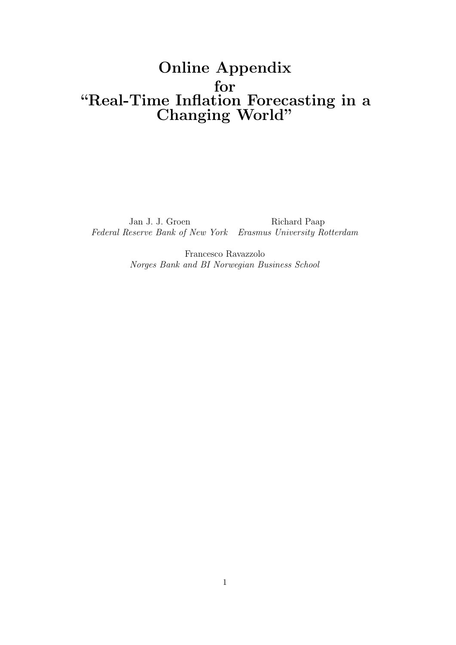# Online Appendix for "Real-Time Inflation Forecasting in a Changing World"

Jan J. J. Groen Richard Paap Federal Reserve Bank of New York Erasmus University Rotterdam

> Francesco Ravazzolo Norges Bank and BI Norwegian Business School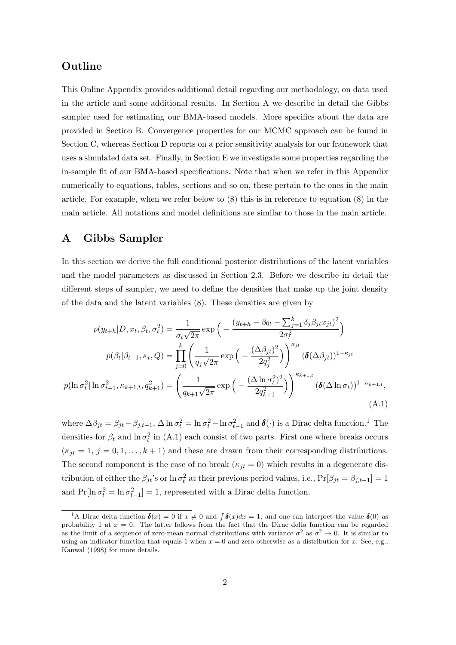# Outline

This Online Appendix provides additional detail regarding our methodology, on data used in the article and some additional results. In Section A we describe in detail the Gibbs sampler used for estimating our BMA-based models. More specifics about the data are provided in Section B. Convergence properties for our MCMC approach can be found in Section C, whereas Section D reports on a prior sensitivity analysis for our framework that uses a simulated data set. Finally, in Section E we investigate some properties regarding the in-sample fit of our BMA-based specifications. Note that when we refer in this Appendix numerically to equations, tables, sections and so on, these pertain to the ones in the main article. For example, when we refer below to (8) this is in reference to equation (8) in the main article. All notations and model definitions are similar to those in the main article.

# A Gibbs Sampler

In this section we derive the full conditional posterior distributions of the latent variables and the model parameters as discussed in Section 2.3. Before we describe in detail the different steps of sampler, we need to define the densities that make up the joint density of the data and the latent variables (8). These densities are given by

$$
p(y_{t+h}|D, x_t, \beta_t, \sigma_t^2) = \frac{1}{\sigma_t \sqrt{2\pi}} \exp\left(-\frac{(y_{t+h} - \beta_{0t} - \sum_{j=1}^k \delta_j \beta_{jt} x_{jt})^2}{2\sigma_t^2}\right)
$$

$$
p(\beta_t|\beta_{t-1}, \kappa_t, Q) = \prod_{j=0}^k \left(\frac{1}{q_j \sqrt{2\pi}} \exp\left(-\frac{(\Delta \beta_{jt})^2}{2q_j^2}\right)\right)^{\kappa_{jt}} (\delta(\Delta \beta_{jt}))^{1-\kappa_{jt}}
$$

$$
p(\ln \sigma_t^2 | \ln \sigma_{t-1}^2, \kappa_{k+1,t}, q_{k+1}^2) = \left(\frac{1}{q_{k+1} \sqrt{2\pi}} \exp\left(-\frac{(\Delta \ln \sigma_t^2)^2}{2q_{k+1}^2}\right)\right)^{\kappa_{k+1,t}} (\delta(\Delta \ln \sigma_t))^{1-\kappa_{k+1,t}},
$$
(A.1)

where  $\Delta \beta_{jt} = \beta_{jt} - \beta_{j,t-1}$ ,  $\Delta \ln \sigma_t^2 = \ln \sigma_t^2 - \ln \sigma_{t-1}^2$  and  $\boldsymbol{\delta}(\cdot)$  is a Dirac delta function.<sup>1</sup> The densities for  $\beta_t$  and  $\ln \sigma_t^2$  in (A.1) each consist of two parts. First one where breaks occurs  $(\kappa_{jt} = 1, j = 0, 1, \ldots, k + 1)$  and these are drawn from their corresponding distributions. The second component is the case of no break  $(\kappa_{it} = 0)$  which results in a degenerate distribution of either the  $\beta_{jt}$ 's or  $\ln \sigma_t^2$  at their previous period values, i.e.,  $Pr[\beta_{jt} = \beta_{j,t-1}] = 1$ and  $Pr[\ln \sigma_t^2 = \ln \sigma_{t-1}^2] = 1$ , represented with a Dirac delta function.

<sup>&</sup>lt;sup>1</sup>A Dirac delta function  $\boldsymbol{\delta}(x) = 0$  if  $x \neq 0$  and  $\int \boldsymbol{\delta}(x)dx = 1$ , and one can interpret the value  $\boldsymbol{\delta}(0)$  as probability 1 at  $x = 0$ . The latter follows from the fact that the Dirac delta function can be regarded as the limit of a sequence of zero-mean normal distributions with variance  $\sigma^2$  as  $\sigma^2 \to 0$ . It is similar to using an indicator function that equals 1 when  $x = 0$  and zero otherwise as a distribution for x. See, e.g., Kanwal (1998) for more details.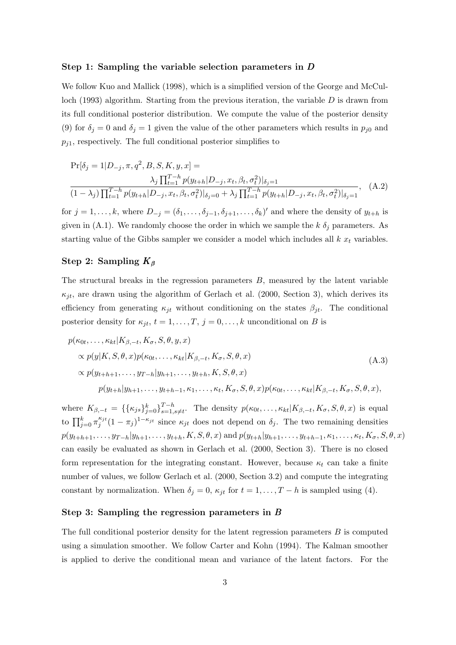#### Step 1: Sampling the variable selection parameters in D

We follow Kuo and Mallick (1998), which is a simplified version of the George and McCulloch (1993) algorithm. Starting from the previous iteration, the variable  $D$  is drawn from its full conditional posterior distribution. We compute the value of the posterior density (9) for  $\delta_j = 0$  and  $\delta_j = 1$  given the value of the other parameters which results in  $p_{j0}$  and  $p_{i1}$ , respectively. The full conditional posterior simplifies to

$$
\Pr[\delta_j = 1 | D_{-j}, \pi, q^2, B, S, K, y, x] =
$$
  

$$
\frac{\lambda_j \prod_{t=1}^{T-h} p(y_{t+h} | D_{-j}, x_t, \beta_t, \sigma_t^2)|_{\delta_j=1}}{(1 - \lambda_j) \prod_{t=1}^{T-h} p(y_{t+h} | D_{-j}, x_t, \beta_t, \sigma_t^2)|_{\delta_j=0} + \lambda_j \prod_{t=1}^{T-h} p(y_{t+h} | D_{-j}, x_t, \beta_t, \sigma_t^2)|_{\delta_j=1}},
$$
(A.2)

for  $j = 1, \ldots, k$ , where  $D_{-j} = (\delta_1, \ldots, \delta_{j-1}, \delta_{j+1}, \ldots, \delta_k)'$  and where the density of  $y_{t+h}$  is given in (A.1). We randomly choose the order in which we sample the  $k \delta_j$  parameters. As starting value of the Gibbs sampler we consider a model which includes all  $k x_t$  variables.

#### Step 2: Sampling  $K_\beta$

The structural breaks in the regression parameters  $B$ , measured by the latent variable  $\kappa_{it}$ , are drawn using the algorithm of Gerlach et al. (2000, Section 3), which derives its efficiency from generating  $\kappa_{jt}$  without conditioning on the states  $\beta_{jt}$ . The conditional posterior density for  $\kappa_{jt}$ ,  $t = 1, \ldots, T$ ,  $j = 0, \ldots, k$  unconditional on B is

$$
p(\kappa_{0t},\ldots,\kappa_{kt}|K_{\beta,-t},K_{\sigma},S,\theta,y,x)
$$
  
\n
$$
\propto p(y|K,S,\theta,x)p(\kappa_{0t},\ldots,\kappa_{kt}|K_{\beta,-t},K_{\sigma},S,\theta,x)
$$
  
\n
$$
\propto p(y_{t+h+1},\ldots,y_{T-h}|y_{h+1},\ldots,y_{t+h},K,S,\theta,x)
$$
  
\n
$$
p(y_{t+h}|y_{h+1},\ldots,y_{t+h-1},\kappa_1,\ldots,\kappa_t,K_{\sigma},S,\theta,x)p(\kappa_{0t},\ldots,\kappa_{kt}|K_{\beta,-t},K_{\sigma},S,\theta,x),
$$
\n(A.3)

where  $K_{\beta,-t} = \{\{\kappa_{js}\}_{j=0}^k\}_{s=1}^{T-h}$  $S_{s=1,s\neq t}^{T-n}$ . The density  $p(\kappa_{0t},\ldots,\kappa_{kt}|K_{\beta,-t},K_{\sigma},S,\theta,x)$  is equal to  $\prod_{j=0}^k \pi_j^{\kappa_{jt}}$  $j_j^{\kappa_{jt}}(1-\pi_j)^{1-\kappa_{jt}}$  since  $\kappa_{jt}$  does not depend on  $\delta_j$ . The two remaining densities  $p(y_{t+h+1}, \ldots, y_{T-h}|y_{h+1}, \ldots, y_{t+h}, K, S, \theta, x)$  and  $p(y_{t+h}|y_{h+1}, \ldots, y_{t+h-1}, \kappa_1, \ldots, \kappa_t, K_{\sigma}, S, \theta, x)$ can easily be evaluated as shown in Gerlach et al. (2000, Section 3). There is no closed form representation for the integrating constant. However, because  $\kappa_t$  can take a finite number of values, we follow Gerlach et al. (2000, Section 3.2) and compute the integrating constant by normalization. When  $\delta_j = 0$ ,  $\kappa_{jt}$  for  $t = 1, ..., T - h$  is sampled using (4).

#### Step 3: Sampling the regression parameters in B

The full conditional posterior density for the latent regression parameters  $B$  is computed using a simulation smoother. We follow Carter and Kohn (1994). The Kalman smoother is applied to derive the conditional mean and variance of the latent factors. For the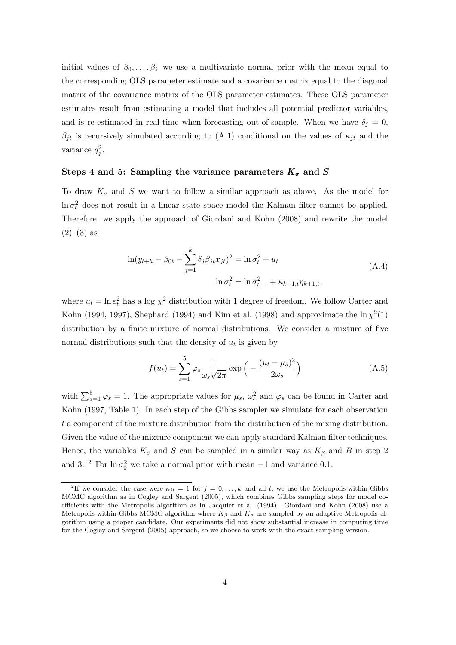initial values of  $\beta_0, \ldots, \beta_k$  we use a multivariate normal prior with the mean equal to the corresponding OLS parameter estimate and a covariance matrix equal to the diagonal matrix of the covariance matrix of the OLS parameter estimates. These OLS parameter estimates result from estimating a model that includes all potential predictor variables, and is re-estimated in real-time when forecasting out-of-sample. When we have  $\delta_j = 0$ ,  $\beta_{jt}$  is recursively simulated according to (A.1) conditional on the values of  $\kappa_{jt}$  and the variance  $q_j^2$ .

### Steps 4 and 5: Sampling the variance parameters  $K_{\sigma}$  and S

To draw  $K_{\sigma}$  and S we want to follow a similar approach as above. As the model for  $\ln \sigma_t^2$  does not result in a linear state space model the Kalman filter cannot be applied. Therefore, we apply the approach of Giordani and Kohn (2008) and rewrite the model  $(2)–(3)$  as

$$
\ln(y_{t+h} - \beta_{0t} - \sum_{j=1}^{k} \delta_j \beta_{jt} x_{jt})^2 = \ln \sigma_t^2 + u_t
$$
  

$$
\ln \sigma_t^2 = \ln \sigma_{t-1}^2 + \kappa_{k+1,t} \eta_{k+1,t},
$$
 (A.4)

where  $u_t = \ln \varepsilon_t^2$  has a log  $\chi^2$  distribution with 1 degree of freedom. We follow Carter and Kohn (1994, 1997), Shephard (1994) and Kim et al. (1998) and approximate the  $\ln \chi^2(1)$ distribution by a finite mixture of normal distributions. We consider a mixture of five normal distributions such that the density of  $u_t$  is given by

$$
f(u_t) = \sum_{s=1}^{5} \varphi_s \frac{1}{\omega_s \sqrt{2\pi}} \exp\left(-\frac{(u_t - \mu_s)^2}{2\omega_s}\right)
$$
(A.5)

with  $\sum_{s=1}^{5} \varphi_s = 1$ . The appropriate values for  $\mu_s$ ,  $\omega_s^2$  and  $\varphi_s$  can be found in Carter and Kohn (1997, Table 1). In each step of the Gibbs sampler we simulate for each observation t a component of the mixture distribution from the distribution of the mixing distribution. Given the value of the mixture component we can apply standard Kalman filter techniques. Hence, the variables  $K_{\sigma}$  and S can be sampled in a similar way as  $K_{\beta}$  and B in step 2 and 3. <sup>2</sup> For  $\ln \sigma_0^2$  we take a normal prior with mean  $-1$  and variance 0.1.

<sup>&</sup>lt;sup>2</sup>If we consider the case were  $\kappa_{jt} = 1$  for  $j = 0, \ldots, k$  and all t, we use the Metropolis-within-Gibbs MCMC algorithm as in Cogley and Sargent (2005), which combines Gibbs sampling steps for model coefficients with the Metropolis algorithm as in Jacquier et al. (1994). Giordani and Kohn (2008) use a Metropolis-within-Gibbs MCMC algorithm where  $K_{\beta}$  and  $K_{\sigma}$  are sampled by an adaptive Metropolis algorithm using a proper candidate. Our experiments did not show substantial increase in computing time for the Cogley and Sargent (2005) approach, so we choose to work with the exact sampling version.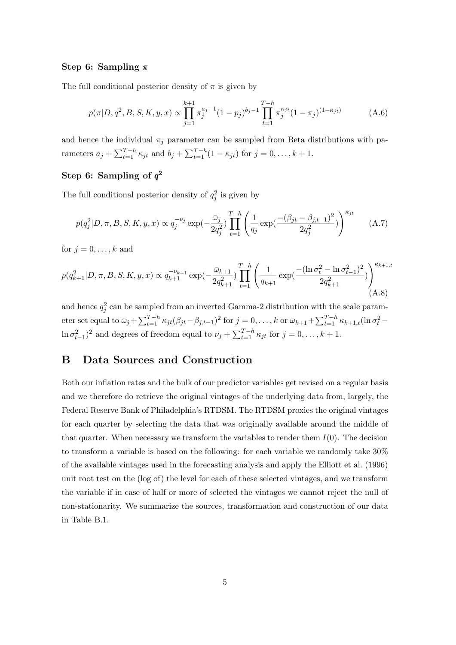#### Step 6: Sampling  $\pi$

The full conditional posterior density of  $\pi$  is given by

$$
p(\pi|D, q^2, B, S, K, y, x) \propto \prod_{j=1}^{k+1} \pi_j^{a_j - 1} (1 - p_j)^{b_j - 1} \prod_{t=1}^{T-h} \pi_j^{\kappa_{jt}} (1 - \pi_j)^{(1 - \kappa_{jt})}
$$
(A.6)

and hence the individual  $\pi_i$  parameter can be sampled from Beta distributions with parameters  $a_j + \sum_{t=1}^{T-h} \kappa_{jt}$  and  $b_j + \sum_{t=1}^{T-h} (1 - \kappa_{jt})$  for  $j = 0, \ldots, k+1$ .

## Step 6: Sampling of  $q^2$

The full conditional posterior density of  $q_j^2$  is given by

$$
p(q_j^2|D,\pi,B,S,K,y,x) \propto q_j^{-\nu_j} \exp(-\frac{\bar{\omega}_j}{2q_j^2}) \prod_{t=1}^{T-h} \left(\frac{1}{q_j} \exp(\frac{-(\beta_{jt} - \beta_{j,t-1})^2}{2q_j^2})\right)^{\kappa_{jt}} \tag{A.7}
$$

for  $i = 0, \ldots, k$  and

$$
p(q_{k+1}^2|D,\pi,B,S,K,y,x) \propto q_{k+1}^{-\nu_{k+1}} \exp(-\frac{\bar{\omega}_{k+1}}{2q_{k+1}^2}) \prod_{t=1}^{T-h} \left(\frac{1}{q_{k+1}} \exp(\frac{-(\ln \sigma_t^2 - \ln \sigma_{t-1}^2)^2}{2q_{k+1}^2})\right)^{\kappa_{k+1,t}} (A.8)
$$

and hence  $q_j^2$  can be sampled from an inverted Gamma-2 distribution with the scale parameter set equal to  $\bar{\omega}_j + \sum_{t=1}^{T-h} \kappa_{jt} (\beta_{jt} - \beta_{j,t-1})^2$  for  $j = 0, \ldots, k$  or  $\bar{\omega}_{k+1} + \sum_{t=1}^{T-h} \kappa_{k+1,t} (\ln \sigma_t^2 \ln \sigma_{t-1}^2$ <sup>2</sup> and degrees of freedom equal to  $\nu_j + \sum_{t=1}^{T-h} \kappa_{jt}$  for  $j = 0, \ldots, k+1$ .

## B Data Sources and Construction

Both our inflation rates and the bulk of our predictor variables get revised on a regular basis and we therefore do retrieve the original vintages of the underlying data from, largely, the Federal Reserve Bank of Philadelphia's RTDSM. The RTDSM proxies the original vintages for each quarter by selecting the data that was originally available around the middle of that quarter. When necessary we transform the variables to render them  $I(0)$ . The decision to transform a variable is based on the following: for each variable we randomly take 30% of the available vintages used in the forecasting analysis and apply the Elliott et al. (1996) unit root test on the (log of) the level for each of these selected vintages, and we transform the variable if in case of half or more of selected the vintages we cannot reject the null of non-stationarity. We summarize the sources, transformation and construction of our data in Table B.1.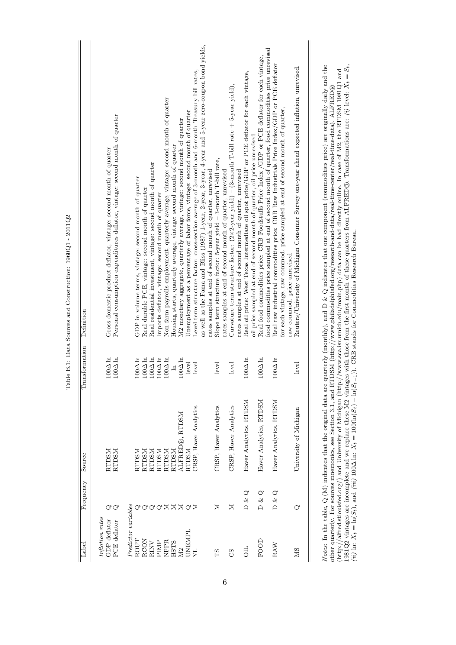| Label                                           | Frequency                                        | Source                 | Transformation                   | Definition                                                                                                                                                                                                                                                                                                                                     |
|-------------------------------------------------|--------------------------------------------------|------------------------|----------------------------------|------------------------------------------------------------------------------------------------------------------------------------------------------------------------------------------------------------------------------------------------------------------------------------------------------------------------------------------------|
| Inflation rates<br>GDP deflator<br>PCE deflator | ೦೦                                               | <b>RTDSM</b><br>RTDSM  | $100\Delta$ ln<br>$100\Delta$ ln | Personal consumption expenditures deflator, vintage: second month of quarter<br>Gross domestic product deflator, vintage: second month of quarter                                                                                                                                                                                              |
| Predictor variables                             |                                                  |                        |                                  |                                                                                                                                                                                                                                                                                                                                                |
| ROUT                                            | ♂                                                | NSCLES                 | $100\Delta$ ln                   | GDP in volume terms, vintage: second month of quarter                                                                                                                                                                                                                                                                                          |
| <b>RCON</b>                                     | ♂                                                | <b>NSCL23</b>          | $100\Delta$ ln                   | Real durable PCE, vintage: second month of quarter                                                                                                                                                                                                                                                                                             |
| RINV                                            | ♂                                                | <b>RTDSM</b>           | $100\Delta$ ln                   | Real residential investment, vintage: second month of quarter                                                                                                                                                                                                                                                                                  |
| PIMP                                            | ଙ                                                | <b>RTDSM</b>           | $100\Delta$ ln                   | Imports deflator, vintage: second month of quarter                                                                                                                                                                                                                                                                                             |
| <b>NFPR</b>                                     | Σ                                                | RTDSM                  | $100\Delta$ ln                   | Non-farm payrolls employment, quarterly average, vintage: second month of quarter                                                                                                                                                                                                                                                              |
| <b>HSTS</b>                                     | $\geq$                                           | RTDSM                  | $\mathbb{E}$                     | Housing starts, quarterly average, vintage: second month of quarter                                                                                                                                                                                                                                                                            |
| ΣŊ                                              | $\Sigma \cup \Sigma$                             | ALFRED®, RTDSM         | $100\Delta$ ln                   | M2 monetary aggregate, quarterly average, vintage: second month of quarter                                                                                                                                                                                                                                                                     |
| UNEMPL                                          |                                                  | <b>NSCL25</b>          | level                            | Unemployment as a percentage of labor force, vintage: second month of quarter                                                                                                                                                                                                                                                                  |
| ЯF                                              |                                                  | CRSP, Haver Analytics  | level                            | Level term structure factor: cross-section average of 3-month and 6-month Treasury bill rates,                                                                                                                                                                                                                                                 |
|                                                 |                                                  |                        |                                  | as well as the Fama and Bliss (1987) 1-year, 2-year, 3-year, 4-year and 5-year zero-coupon bond yields,                                                                                                                                                                                                                                        |
|                                                 |                                                  |                        |                                  | rates samples at end of second month of quarter, unrevised                                                                                                                                                                                                                                                                                     |
| ΕŚ                                              | Σ                                                | CRSP, Haver Analytics  | level                            | Slope term structure factor: 5-year yield - 3-month T-bill rate,                                                                                                                                                                                                                                                                               |
|                                                 |                                                  |                        |                                  | rates samples at end of second month of quarter, unrevised                                                                                                                                                                                                                                                                                     |
| 85                                              | $\mathbb N$                                      | CRSP, Haver Analytics  | level                            | Curvature term structure factor: $(2 \times 2$ -year yield) – $(3$ -month T-bill rate + 5-year yield),<br>rates samples at end of second month of quarter, unrevised                                                                                                                                                                           |
| 5D                                              | $\mathcal{O}$<br>$\overline{D}$ & $\overline{C}$ | Haver Analytics, RTDSM | $100\Delta$ ln                   | Real oil price: West Texas Intermediate oil spot price/GDP or PCE deflator for each vintage,                                                                                                                                                                                                                                                   |
|                                                 |                                                  |                        |                                  | oil price sampled at end of second month of quarter, oil price unrevised                                                                                                                                                                                                                                                                       |
| FOOD                                            | D & Q                                            | Haver Analytics, RTDSM | $100\Delta$ ln                   | Real food commodities price: CRB Foodstuffs Price Index /GDP or PCE deflator for each vintage,                                                                                                                                                                                                                                                 |
|                                                 |                                                  |                        |                                  | food commodities price sampled at end of second month of quarter, food commodities price unrevised                                                                                                                                                                                                                                             |
| RAW                                             | D & Q                                            | Haver Analytics, RTDSM | $100\Delta$ ln                   | Real raw industrial commodities price: CRB Raw Industrials Price Index/GDP or PCE deflator                                                                                                                                                                                                                                                     |
|                                                 |                                                  |                        |                                  | for each vintage, raw commod. price sampled at end of second month of quarter,                                                                                                                                                                                                                                                                 |
|                                                 |                                                  |                        |                                  | raw commod. price unrevised                                                                                                                                                                                                                                                                                                                    |
| SM                                              | ♂                                                | University of Michigan | level                            | Reuters/University of Michigan Consumer Survey one-year ahead expected inflation, unrevised.                                                                                                                                                                                                                                                   |
|                                                 |                                                  |                        |                                  |                                                                                                                                                                                                                                                                                                                                                |
|                                                 |                                                  |                        |                                  |                                                                                                                                                                                                                                                                                                                                                |
|                                                 |                                                  |                        |                                  | Notes: In the table, Q (M) indicates that the original data are quarterly (monthly), and D & Q indicates that one component (commodities price) are originally daily and the<br>other quarterly. For sources mnemonics, see Section 3.1, and RTDSM (http://www.philadelphiafed.org/research-and-data/real-time-center/real-time-data), ALFRED® |
|                                                 |                                                  |                        |                                  |                                                                                                                                                                                                                                                                                                                                                |

Table B.1: Data Sources and Construction: 1960Q1 - 2011Q2 Table B.1: Data Sources and Construction: 1960Q1 - 2011Q2

1981Q2 vintages are incomplete and we replace these M2 vintages with those from the first month of these quarters from ALFRED®. Transformations are: (i) level:  $\bar{X}_t = S_t$ , (ii) lii:  $X_t = \ln(S_t)$ , and (iii) 100 $\Delta$ ln:  $X_t =$ 1981Q2 vintages are incomplete and we replace these M2 vintages with those from the first month of these quarters from ALFRED®. Transformations are: (*i*) level:  $X_t = S_t$ ,  $\ldots$  and  $X_t = S_t$ (http://alfred.stlouisfed.org/) and University of Michigan (http://www.sca.isr.umich.edu/main.php) data can be had directly online. In case of M2, the RTDSM 1981Q1 and (ii) ln:  $X_t = \ln(S_t)$ , and (iii) 100∆ ln:  $X_t = 100(\ln(S_t) - \ln(S_{t-1}))$ . CRB stands for Commodities Research Bureau.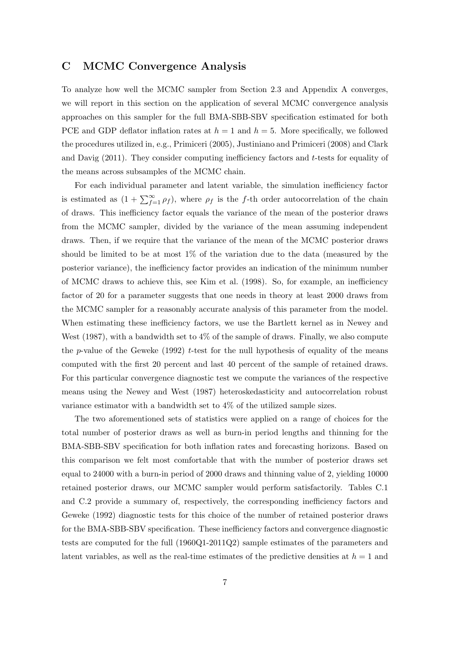## C MCMC Convergence Analysis

To analyze how well the MCMC sampler from Section 2.3 and Appendix A converges, we will report in this section on the application of several MCMC convergence analysis approaches on this sampler for the full BMA-SBB-SBV specification estimated for both PCE and GDP deflator inflation rates at  $h = 1$  and  $h = 5$ . More specifically, we followed the procedures utilized in, e.g., Primiceri (2005), Justiniano and Primiceri (2008) and Clark and Davig  $(2011)$ . They consider computing inefficiency factors and t-tests for equality of the means across subsamples of the MCMC chain.

For each individual parameter and latent variable, the simulation inefficiency factor is estimated as  $(1 + \sum_{f=1}^{\infty} \rho_f)$ , where  $\rho_f$  is the f-th order autocorrelation of the chain of draws. This inefficiency factor equals the variance of the mean of the posterior draws from the MCMC sampler, divided by the variance of the mean assuming independent draws. Then, if we require that the variance of the mean of the MCMC posterior draws should be limited to be at most 1% of the variation due to the data (measured by the posterior variance), the inefficiency factor provides an indication of the minimum number of MCMC draws to achieve this, see Kim et al. (1998). So, for example, an inefficiency factor of 20 for a parameter suggests that one needs in theory at least 2000 draws from the MCMC sampler for a reasonably accurate analysis of this parameter from the model. When estimating these inefficiency factors, we use the Bartlett kernel as in Newey and West (1987), with a bandwidth set to  $4\%$  of the sample of draws. Finally, we also compute the p-value of the Geweke (1992) t-test for the null hypothesis of equality of the means computed with the first 20 percent and last 40 percent of the sample of retained draws. For this particular convergence diagnostic test we compute the variances of the respective means using the Newey and West (1987) heteroskedasticity and autocorrelation robust variance estimator with a bandwidth set to 4% of the utilized sample sizes.

The two aforementioned sets of statistics were applied on a range of choices for the total number of posterior draws as well as burn-in period lengths and thinning for the BMA-SBB-SBV specification for both inflation rates and forecasting horizons. Based on this comparison we felt most comfortable that with the number of posterior draws set equal to 24000 with a burn-in period of 2000 draws and thinning value of 2, yielding 10000 retained posterior draws, our MCMC sampler would perform satisfactorily. Tables C.1 and C.2 provide a summary of, respectively, the corresponding inefficiency factors and Geweke (1992) diagnostic tests for this choice of the number of retained posterior draws for the BMA-SBB-SBV specification. These inefficiency factors and convergence diagnostic tests are computed for the full (1960Q1-2011Q2) sample estimates of the parameters and latent variables, as well as the real-time estimates of the predictive densities at  $h = 1$  and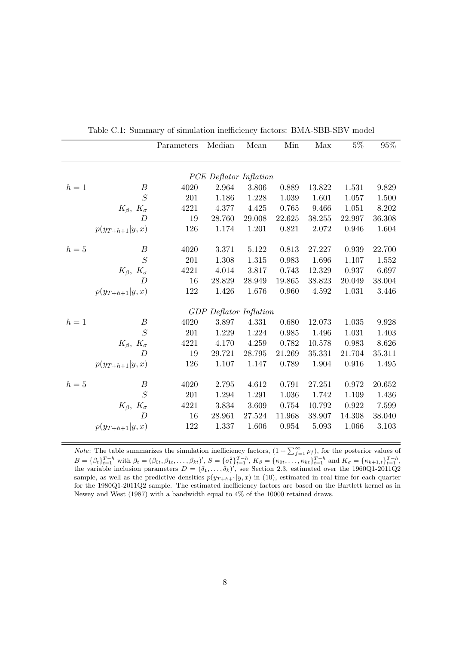|       |                            | Parameters | Median                        | Mean   | Min         | Max    | $5\%$  | $95\%$               |
|-------|----------------------------|------------|-------------------------------|--------|-------------|--------|--------|----------------------|
|       |                            |            | PCE Deflator Inflation        |        |             |        |        |                      |
| $h=1$ | $\boldsymbol{B}$           | 4020       | 2.964                         | 3.806  | 0.889       | 13.822 | 1.531  | 9.829                |
|       | S                          | 201        | 1.186                         | 1.228  | 1.039       | 1.601  | 1.057  | 1.500                |
|       | $K_{\beta}$ , $K_{\sigma}$ | 4221       | 4.377                         | 4.425  | 0.765       | 9.466  | 1.051  | 8.202                |
|       | D                          | 19         | 28.760                        | 29.008 | 22.625      | 38.255 | 22.997 | 36.308               |
|       | $p(y_{T+h+1} y,x)$         | 126        | 1.174                         | 1.201  | 0.821       | 2.072  | 0.946  | 1.604                |
| $h=5$ | В                          | 4020       | 3.371                         | 5.122  | 0.813       | 27.227 | 0.939  | 22.700               |
|       | $\overline{S}$             | 201        | 1.308                         | 1.315  | $\,0.983\,$ | 1.696  | 1.107  | 1.552                |
|       | $K_{\beta}$ , $K_{\sigma}$ | 4221       | 4.014                         | 3.817  | 0.743       | 12.329 | 0.937  | 6.697                |
|       | $\overline{D}$             | 16         | 28.829                        | 28.949 | 19.865      | 38.823 | 20.049 | 38.004               |
|       | $p(y_{T+h+1} y,x)$         | 122        | 1.426                         | 1.676  | 0.960       | 4.592  | 1.031  | 3.446                |
|       |                            |            | <b>GDP</b> Deflator Inflation |        |             |        |        |                      |
| $h=1$ | $\boldsymbol{B}$           | 4020       | 3.897                         | 4.331  | 0.680       | 12.073 | 1.035  | $\boldsymbol{9.928}$ |
|       | S                          | 201        | 1.229                         | 1.224  | 0.985       | 1.496  | 1.031  | 1.403                |
|       | $K_{\beta}$ , $K_{\sigma}$ | 4221       | 4.170                         | 4.259  | 0.782       | 10.578 | 0.983  | 8.626                |
|       | $\overline{D}$             | 19         | 29.721                        | 28.795 | 21.269      | 35.331 | 21.704 | 35.311               |
|       | $p(y_{T+h+1} y,x)$         | 126        | 1.107                         | 1.147  | 0.789       | 1.904  | 0.916  | 1.495                |
| $h=5$ | $\boldsymbol{B}$           | 4020       | 2.795                         | 4.612  | 0.791       | 27.251 | 0.972  | 20.652               |
|       | $\overline{S}$             | 201        | 1.294                         | 1.291  | 1.036       | 1.742  | 1.109  | 1.436                |
|       | $K_{\beta}$ , $K_{\sigma}$ | 4221       | 3.834                         | 3.609  | 0.754       | 10.792 | 0.922  | 7.599                |
|       | $\overline{D}$             | 16         | 28.961                        | 27.524 | 11.968      | 38.907 | 14.308 | 38.040               |
|       | $p(y_{T+h+1} y,x)$         | 122        | 1.337                         | 1.606  | 0.954       | 5.093  | 1.066  | 3.103                |
|       |                            |            |                               |        |             |        |        |                      |

Table C.1: Summary of simulation inefficiency factors: BMA-SBB-SBV model

*Note:* The table summarizes the simulation inefficiency factors,  $(1 + \sum_{f=1}^{\infty} \rho_f)$ , for the posterior values of  $B = {\beta_t}_{t=1}^{T-h}$  with  $\beta_t = (\beta_{0t}, \beta_{1t}, \dots, \beta_{kt})'$ ,  $S = {\{\sigma_t^2}\}_{t=1}^{T-h}$ ,  $K_\beta = {\{\kappa_{0t}, \dots, \kappa_{kt}\}}_{t=1}^{T-h}$  and  $K_\sigma = {\{\kappa_{k+1,t}\}}_{t=1}^{T-h}$ , the variable inclusion parameters  $D = (\delta_1, \ldots, \delta_k)'$ , see Section 2.3, estimated over the 1960Q1-2011Q2 sample, as well as the predictive densities  $p(y_{T+h+1}|y, x)$  in (10), estimated in real-time for each quarter for the 1980Q1-2011Q2 sample. The estimated inefficiency factors are based on the Bartlett kernel as in Newey and West (1987) with a bandwidth equal to 4% of the 10000 retained draws.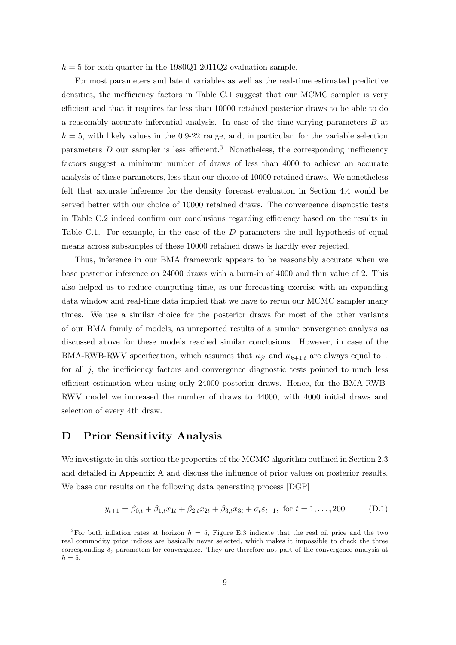$h = 5$  for each quarter in the 1980Q1-2011Q2 evaluation sample.

For most parameters and latent variables as well as the real-time estimated predictive densities, the inefficiency factors in Table C.1 suggest that our MCMC sampler is very efficient and that it requires far less than 10000 retained posterior draws to be able to do a reasonably accurate inferential analysis. In case of the time-varying parameters B at  $h = 5$ , with likely values in the 0.9-22 range, and, in particular, for the variable selection parameters  $D$  our sampler is less efficient.<sup>3</sup> Nonetheless, the corresponding inefficiency factors suggest a minimum number of draws of less than 4000 to achieve an accurate analysis of these parameters, less than our choice of 10000 retained draws. We nonetheless felt that accurate inference for the density forecast evaluation in Section 4.4 would be served better with our choice of 10000 retained draws. The convergence diagnostic tests in Table C.2 indeed confirm our conclusions regarding efficiency based on the results in Table C.1. For example, in the case of the D parameters the null hypothesis of equal means across subsamples of these 10000 retained draws is hardly ever rejected.

Thus, inference in our BMA framework appears to be reasonably accurate when we base posterior inference on 24000 draws with a burn-in of 4000 and thin value of 2. This also helped us to reduce computing time, as our forecasting exercise with an expanding data window and real-time data implied that we have to rerun our MCMC sampler many times. We use a similar choice for the posterior draws for most of the other variants of our BMA family of models, as unreported results of a similar convergence analysis as discussed above for these models reached similar conclusions. However, in case of the BMA-RWB-RWV specification, which assumes that  $\kappa_{jt}$  and  $\kappa_{k+1,t}$  are always equal to 1 for all  $j$ , the inefficiency factors and convergence diagnostic tests pointed to much less efficient estimation when using only 24000 posterior draws. Hence, for the BMA-RWB-RWV model we increased the number of draws to 44000, with 4000 initial draws and selection of every 4th draw.

## D Prior Sensitivity Analysis

We investigate in this section the properties of the MCMC algorithm outlined in Section 2.3 and detailed in Appendix A and discuss the influence of prior values on posterior results. We base our results on the following data generating process [DGP]

$$
y_{t+1} = \beta_{0,t} + \beta_{1,t} x_{1t} + \beta_{2,t} x_{2t} + \beta_{3,t} x_{3t} + \sigma_t \varepsilon_{t+1}, \text{ for } t = 1, ..., 200 \tag{D.1}
$$

<sup>&</sup>lt;sup>3</sup>For both inflation rates at horizon  $h = 5$ , Figure E.3 indicate that the real oil price and the two real commodity price indices are basically never selected, which makes it impossible to check the three corresponding  $\delta_i$  parameters for convergence. They are therefore not part of the convergence analysis at  $h=5.$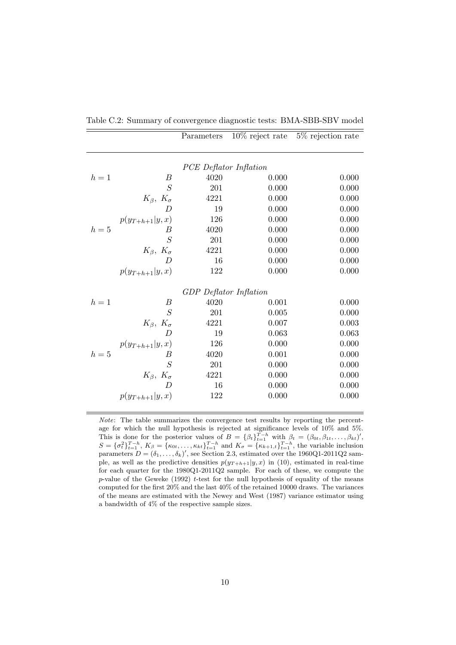|       |                            | Parameters             |       | $10\%$ reject rate 5% rejection rate |
|-------|----------------------------|------------------------|-------|--------------------------------------|
|       |                            |                        |       |                                      |
|       |                            | PCE Deflator Inflation |       |                                      |
| $h=1$ | В                          | 4020                   | 0.000 | 0.000                                |
|       | S                          | 201                    | 0.000 | 0.000                                |
|       |                            |                        |       |                                      |
|       | $K_{\beta}$ , $K_{\sigma}$ | 4221                   | 0.000 | 0.000                                |
|       | D                          | 19                     | 0.000 | 0.000                                |
|       | $p(y_{T+h+1} y,x)$         | 126                    | 0.000 | 0.000                                |
| $h=5$ | B                          | 4020                   | 0.000 | 0.000                                |
|       | S                          | 201                    | 0.000 | 0.000                                |
|       | $K_{\beta}$ , $K_{\sigma}$ | 4221                   | 0.000 | 0.000                                |
|       | $\overline{D}$             | 16                     | 0.000 | 0.000                                |
|       | $p(y_{T+h+1} y,x)$         | 122                    | 0.000 | 0.000                                |
|       |                            | GDP Deflator Inflation |       |                                      |
| $h=1$ | В                          | 4020                   | 0.001 | 0.000                                |
|       | S                          | 201                    | 0.005 | 0.000                                |
|       |                            |                        |       |                                      |
|       | $K_{\beta}$ , $K_{\sigma}$ | 4221                   | 0.007 | 0.003                                |
|       | $\overline{D}$             | 19                     | 0.063 | 0.063                                |
|       | $p(y_{T+h+1} y,x)$         | 126                    | 0.000 | 0.000                                |
| $h=5$ | B                          | 4020                   | 0.001 | 0.000                                |
|       | S                          | 201                    | 0.000 | 0.000                                |
|       | $K_{\beta}$ , $K_{\sigma}$ | 4221                   | 0.000 | 0.000                                |
|       | $\overline{D}$             | 16                     | 0.000 | 0.000                                |
|       | $p(y_{T+h+1} y,x)$         | 122                    | 0.000 | 0.000                                |
|       |                            |                        |       |                                      |

Table C.2: Summary of convergence diagnostic tests: BMA-SBB-SBV model

Note: The table summarizes the convergence test results by reporting the percentage for which the null hypothesis is rejected at significance levels of 10% and 5%. This is done for the posterior values of  $B = {\beta_t}_{t=1}^{T-h}$  with  $\beta_t = (\beta_{0t}, \beta_{1t}, \dots, \beta_{kt})'$ ,  $S = {\sigma_t^2}_{t=1}^{T-h}, K_\beta = {\kappa_{0t}, \ldots, \kappa_{kt}}_{t=1}^{T-h}$  and  $K_\sigma = {\kappa_{k+1,t}}_{t=1}^{T-h}$ , the variable inclusion parameters  $D = (\delta_1, \ldots, \delta_k)'$ , see Section 2.3, estimated over the 1960Q1-2011Q2 sample, as well as the predictive densities  $p(y_{T+h+1}|y, x)$  in (10), estimated in real-time for each quarter for the 1980Q1-2011Q2 sample. For each of these, we compute the  $p$ -value of the Geweke (1992) t-test for the null hypothesis of equality of the means computed for the first 20% and the last 40% of the retained 10000 draws. The variances of the means are estimated with the Newey and West (1987) variance estimator using a bandwidth of 4% of the respective sample sizes.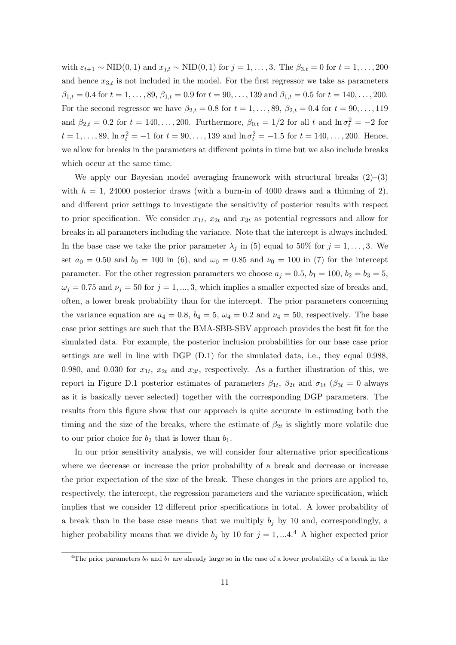with  $\varepsilon_{t+1} \sim \text{NID}(0, 1)$  and  $x_{j,t} \sim \text{NID}(0, 1)$  for  $j = 1, \ldots, 3$ . The  $\beta_{3,t} = 0$  for  $t = 1, \ldots, 200$ and hence  $x_{3,t}$  is not included in the model. For the first regressor we take as parameters  $\beta_{1,t} = 0.4$  for  $t = 1, \ldots, 89, \beta_{1,t} = 0.9$  for  $t = 90, \ldots, 139$  and  $\beta_{1,t} = 0.5$  for  $t = 140, \ldots, 200$ . For the second regressor we have  $\beta_{2,t} = 0.8$  for  $t = 1, ..., 89, \beta_{2,t} = 0.4$  for  $t = 90, ..., 119$ and  $\beta_{2,t} = 0.2$  for  $t = 140, \ldots, 200$ . Furthermore,  $\beta_{0,t} = 1/2$  for all t and  $\ln \sigma_t^2 = -2$  for  $t = 1, \ldots, 89, \ln \sigma_t^2 = -1$  for  $t = 90, \ldots, 139$  and  $\ln \sigma_t^2 = -1.5$  for  $t = 140, \ldots, 200$ . Hence, we allow for breaks in the parameters at different points in time but we also include breaks which occur at the same time.

We apply our Bayesian model averaging framework with structural breaks  $(2)$ – $(3)$ with  $h = 1$ , 24000 posterior draws (with a burn-in of 4000 draws and a thinning of 2), and different prior settings to investigate the sensitivity of posterior results with respect to prior specification. We consider  $x_{1t}$ ,  $x_{2t}$  and  $x_{3t}$  as potential regressors and allow for breaks in all parameters including the variance. Note that the intercept is always included. In the base case we take the prior parameter  $\lambda_j$  in (5) equal to 50% for  $j = 1, \ldots, 3$ . We set  $a_0 = 0.50$  and  $b_0 = 100$  in (6), and  $\omega_0 = 0.85$  and  $\nu_0 = 100$  in (7) for the intercept parameter. For the other regression parameters we choose  $a_j = 0.5$ ,  $b_1 = 100$ ,  $b_2 = b_3 = 5$ ,  $\omega_j = 0.75$  and  $\nu_j = 50$  for  $j = 1, ..., 3$ , which implies a smaller expected size of breaks and, often, a lower break probability than for the intercept. The prior parameters concerning the variance equation are  $a_4 = 0.8$ ,  $b_4 = 5$ ,  $\omega_4 = 0.2$  and  $\nu_4 = 50$ , respectively. The base case prior settings are such that the BMA-SBB-SBV approach provides the best fit for the simulated data. For example, the posterior inclusion probabilities for our base case prior settings are well in line with DGP (D.1) for the simulated data, i.e., they equal 0.988, 0.980, and 0.030 for  $x_{1t}$ ,  $x_{2t}$  and  $x_{3t}$ , respectively. As a further illustration of this, we report in Figure D.1 posterior estimates of parameters  $\beta_{1t}$ ,  $\beta_{2t}$  and  $\sigma_{1t}$  ( $\beta_{3t} = 0$  always as it is basically never selected) together with the corresponding DGP parameters. The results from this figure show that our approach is quite accurate in estimating both the timing and the size of the breaks, where the estimate of  $\beta_{2t}$  is slightly more volatile due to our prior choice for  $b_2$  that is lower than  $b_1$ .

In our prior sensitivity analysis, we will consider four alternative prior specifications where we decrease or increase the prior probability of a break and decrease or increase the prior expectation of the size of the break. These changes in the priors are applied to, respectively, the intercept, the regression parameters and the variance specification, which implies that we consider 12 different prior specifications in total. A lower probability of a break than in the base case means that we multiply  $b_j$  by 10 and, correspondingly, a higher probability means that we divide  $b_i$  by 10 for  $j = 1, ... 4$ .<sup>4</sup> A higher expected prior

<sup>&</sup>lt;sup>4</sup>The prior parameters  $b_0$  and  $b_1$  are already large so in the case of a lower probability of a break in the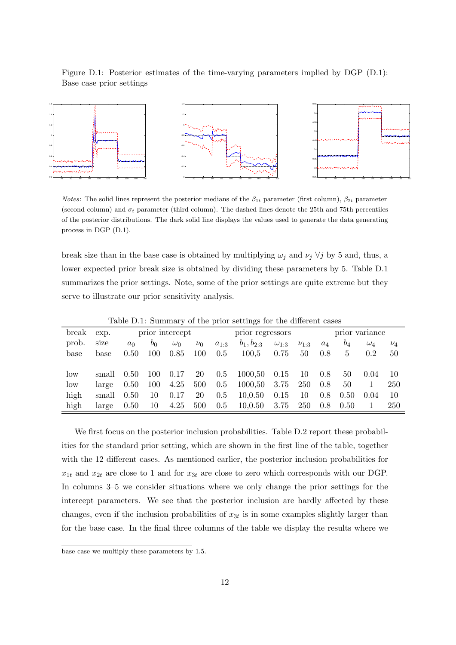Figure D.1: Posterior estimates of the time-varying parameters implied by DGP (D.1): Base case prior settings



*Notes*: The solid lines represent the posterior medians of the  $\beta_{1t}$  parameter (first column),  $\beta_{2t}$  parameter (second column) and  $\sigma_t$  parameter (third column). The dashed lines denote the 25th and 75th percentiles of the posterior distributions. The dark solid line displays the values used to generate the data generating process in DGP (D.1).

break size than in the base case is obtained by multiplying  $\omega_j$  and  $\nu_j \forall j$  by 5 and, thus, a lower expected prior break size is obtained by dividing these parameters by 5. Table D.1 summarizes the prior settings. Note, some of the prior settings are quite extreme but they serve to illustrate our prior sensitivity analysis.

| break           | exp.  |       |       | prior intercept |         |           | prior regressors |                |             |       |       | prior variance |         |
|-----------------|-------|-------|-------|-----------------|---------|-----------|------------------|----------------|-------------|-------|-------|----------------|---------|
| prob.           | size  | $a_0$ | $v_0$ | $\omega_0$      | $\nu_0$ | $a_{1:3}$ | $b_1, b_{2:3}$   | $\omega_{1:3}$ | $\nu_{1:3}$ | $a_4$ | $b_4$ | $\omega_4$     | $\nu_4$ |
| base            | base  | 0.50  | 100   | 0.85            | 100     | 0.5       | 100,5            | 0.75           | 50          | 0.8   | 5     | 0.2            | 50      |
|                 |       |       |       |                 |         |           |                  |                |             |       |       |                |         |
| low             | small | 0.50  | 100   | 0.17            | 20      | 0.5       | 1000,50          | 0.15           | 10          | 0.8   | 50    | 0.04           | 10      |
| $_{\text{low}}$ | large | 0.50  | 100   | 4.25            | 500     | $0.5\,$   | 1000,50          | 3.75           | 250         | 0.8   | 50    |                | 250     |
| high            | small | 0.50  | 10    | 0.17            | 20      | 0.5       | 10,0.50          | 0.15           | 10          | 0.8   | 0.50  | 0.04           | 10      |
| high            | large | 0.50  | 10    | 4.25            | 500     | 0.5       | 10, 0.50         | 3.75           | 250         | 0.8   | 0.50  |                | 250     |

Table D.1: Summary of the prior settings for the different cases

We first focus on the posterior inclusion probabilities. Table D.2 report these probabilities for the standard prior setting, which are shown in the first line of the table, together with the 12 different cases. As mentioned earlier, the posterior inclusion probabilities for  $x_{1t}$  and  $x_{2t}$  are close to 1 and for  $x_{3t}$  are close to zero which corresponds with our DGP. In columns 3–5 we consider situations where we only change the prior settings for the intercept parameters. We see that the posterior inclusion are hardly affected by these changes, even if the inclusion probabilities of  $x_{3t}$  is in some examples slightly larger than for the base case. In the final three columns of the table we display the results where we

base case we multiply these parameters by 1.5.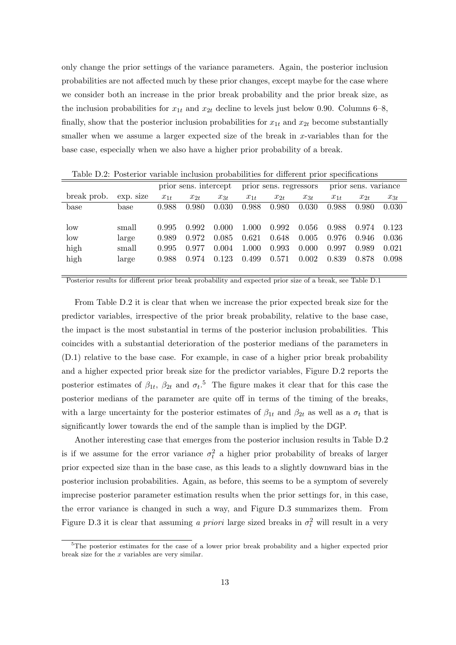only change the prior settings of the variance parameters. Again, the posterior inclusion probabilities are not affected much by these prior changes, except maybe for the case where we consider both an increase in the prior break probability and the prior break size, as the inclusion probabilities for  $x_{1t}$  and  $x_{2t}$  decline to levels just below 0.90. Columns 6–8, finally, show that the posterior inclusion probabilities for  $x_{1t}$  and  $x_{2t}$  become substantially smaller when we assume a larger expected size of the break in  $x$ -variables than for the base case, especially when we also have a higher prior probability of a break.

|             |           |          | prior sens. intercept |          |          | prior sens. regressors |          |          | prior sens. variance |          |
|-------------|-----------|----------|-----------------------|----------|----------|------------------------|----------|----------|----------------------|----------|
| break prob. | exp. size | $x_{1t}$ | $x_{2t}$              | $x_{3t}$ | $x_{1t}$ | $x_{2t}$               | $x_{3t}$ | $x_{1t}$ | $x_{2t}$             | $x_{3t}$ |
| base        | base      | 0.988    | 0.980                 | 0.030    | 0.988    | 0.980                  | 0.030    | 0.988    | 0.980                | 0.030    |
|             |           |          |                       |          |          |                        |          |          |                      |          |
| low         | small     | 0.995    | 0.992                 | 0.000    | 1.000    | 0.992                  | 0.056    | 0.988    | 0.974                | 0.123    |
| low         | large     | 0.989    | 0.972                 | 0.085    | 0.621    | 0.648                  | 0.005    | 0.976    | 0.946                | 0.036    |
| high        | small     | 0.995    | 0.977                 | 0.004    | 1.000    | 0.993                  | 0.000    | 0.997    | 0.989                | 0.021    |
| high        | large     | 0.988    | 0.974                 | 0.123    | 0.499    | 0.571                  | 0.002    | 0.839    | 0.878                | 0.098    |
|             |           |          |                       |          |          |                        |          |          |                      |          |

Table D.2: Posterior variable inclusion probabilities for different prior specifications

Posterior results for different prior break probability and expected prior size of a break, see Table D.1

From Table D.2 it is clear that when we increase the prior expected break size for the predictor variables, irrespective of the prior break probability, relative to the base case, the impact is the most substantial in terms of the posterior inclusion probabilities. This coincides with a substantial deterioration of the posterior medians of the parameters in (D.1) relative to the base case. For example, in case of a higher prior break probability and a higher expected prior break size for the predictor variables, Figure D.2 reports the posterior estimates of  $\beta_{1t}$ ,  $\beta_{2t}$  and  $\sigma_t$ .<sup>5</sup> The figure makes it clear that for this case the posterior medians of the parameter are quite off in terms of the timing of the breaks, with a large uncertainty for the posterior estimates of  $\beta_{1t}$  and  $\beta_{2t}$  as well as a  $\sigma_t$  that is significantly lower towards the end of the sample than is implied by the DGP.

Another interesting case that emerges from the posterior inclusion results in Table D.2 is if we assume for the error variance  $\sigma_t^2$  a higher prior probability of breaks of larger prior expected size than in the base case, as this leads to a slightly downward bias in the posterior inclusion probabilities. Again, as before, this seems to be a symptom of severely imprecise posterior parameter estimation results when the prior settings for, in this case, the error variance is changed in such a way, and Figure D.3 summarizes them. From Figure D.3 it is clear that assuming a *priori* large sized breaks in  $\sigma_t^2$  will result in a very

<sup>&</sup>lt;sup>5</sup>The posterior estimates for the case of a lower prior break probability and a higher expected prior break size for the  $x$  variables are very similar.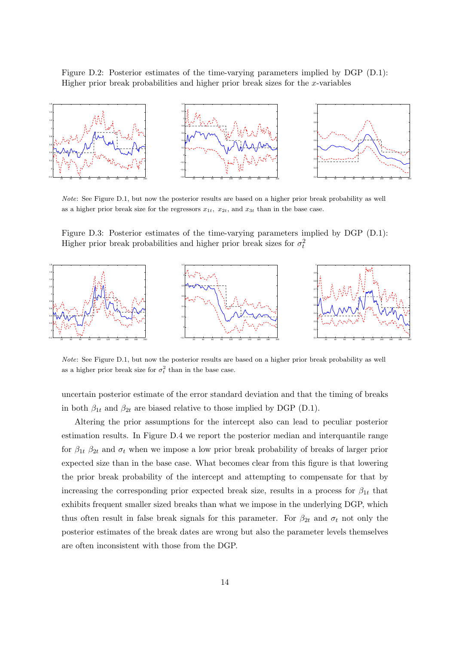Figure D.2: Posterior estimates of the time-varying parameters implied by DGP (D.1): Higher prior break probabilities and higher prior break sizes for the  $x$ -variables



Note: See Figure D.1, but now the posterior results are based on a higher prior break probability as well as a higher prior break size for the regressors  $x_{1t}$ ,  $x_{2t}$ , and  $x_{3t}$  than in the base case.

Figure D.3: Posterior estimates of the time-varying parameters implied by DGP (D.1): Higher prior break probabilities and higher prior break sizes for  $\sigma_t^2$ 



Note: See Figure D.1, but now the posterior results are based on a higher prior break probability as well as a higher prior break size for  $\sigma_t^2$  than in the base case.

uncertain posterior estimate of the error standard deviation and that the timing of breaks in both  $\beta_{1t}$  and  $\beta_{2t}$  are biased relative to those implied by DGP (D.1).

Altering the prior assumptions for the intercept also can lead to peculiar posterior estimation results. In Figure D.4 we report the posterior median and interquantile range for  $\beta_{1t}$   $\beta_{2t}$  and  $\sigma_t$  when we impose a low prior break probability of breaks of larger prior expected size than in the base case. What becomes clear from this figure is that lowering the prior break probability of the intercept and attempting to compensate for that by increasing the corresponding prior expected break size, results in a process for  $\beta_{1t}$  that exhibits frequent smaller sized breaks than what we impose in the underlying DGP, which thus often result in false break signals for this parameter. For  $\beta_{2t}$  and  $\sigma_t$  not only the posterior estimates of the break dates are wrong but also the parameter levels themselves are often inconsistent with those from the DGP.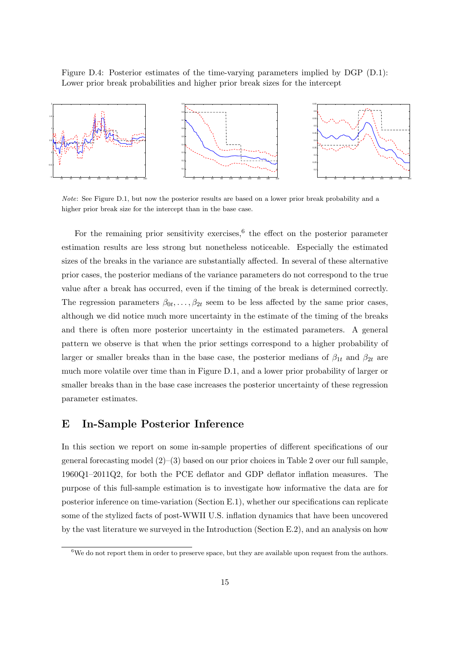Figure D.4: Posterior estimates of the time-varying parameters implied by DGP (D.1): Lower prior break probabilities and higher prior break sizes for the intercept



Note: See Figure D.1, but now the posterior results are based on a lower prior break probability and a higher prior break size for the intercept than in the base case.

For the remaining prior sensitivity exercises,  $6$  the effect on the posterior parameter estimation results are less strong but nonetheless noticeable. Especially the estimated sizes of the breaks in the variance are substantially affected. In several of these alternative prior cases, the posterior medians of the variance parameters do not correspond to the true value after a break has occurred, even if the timing of the break is determined correctly. The regression parameters  $\beta_{0t}, \ldots, \beta_{2t}$  seem to be less affected by the same prior cases, although we did notice much more uncertainty in the estimate of the timing of the breaks and there is often more posterior uncertainty in the estimated parameters. A general pattern we observe is that when the prior settings correspond to a higher probability of larger or smaller breaks than in the base case, the posterior medians of  $\beta_{1t}$  and  $\beta_{2t}$  are much more volatile over time than in Figure D.1, and a lower prior probability of larger or smaller breaks than in the base case increases the posterior uncertainty of these regression parameter estimates.

## E In-Sample Posterior Inference

In this section we report on some in-sample properties of different specifications of our general forecasting model  $(2)$ – $(3)$  based on our prior choices in Table 2 over our full sample, 1960Q1–2011Q2, for both the PCE deflator and GDP deflator inflation measures. The purpose of this full-sample estimation is to investigate how informative the data are for posterior inference on time-variation (Section E.1), whether our specifications can replicate some of the stylized facts of post-WWII U.S. inflation dynamics that have been uncovered by the vast literature we surveyed in the Introduction (Section E.2), and an analysis on how

 $6$ We do not report them in order to preserve space, but they are available upon request from the authors.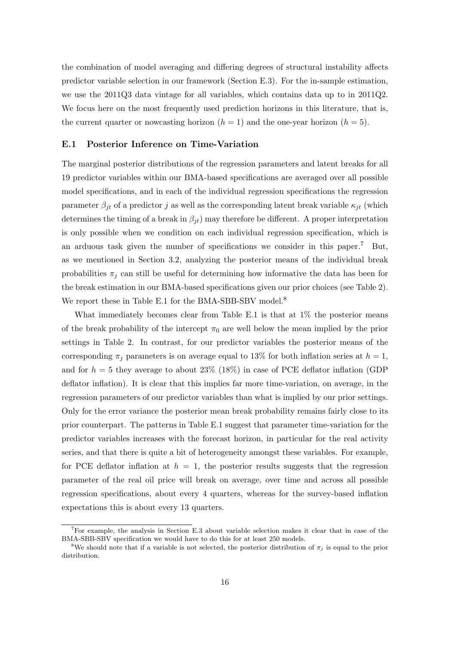the combination of model averaging and differing degrees of structural instability affects predictor variable selection in our framework (Section E.3). For the in-sample estimation, we use the 2011Q3 data vintage for all variables, which contains data up to in 2011Q2. We focus here on the most frequently used prediction horizons in this literature, that is, the current quarter or nowcasting horizon  $(h = 1)$  and the one-year horizon  $(h = 5)$ .

#### E.1 Posterior Inference on Time-Variation

The marginal posterior distributions of the regression parameters and latent breaks for all 19 predictor variables within our BMA-based specifications are averaged over all possible model specifications, and in each of the individual regression specifications the regression parameter  $\beta_{jt}$  of a predictor j as well as the corresponding latent break variable  $\kappa_{jt}$  (which determines the timing of a break in  $\beta_{jt}$ ) may therefore be different. A proper interpretation is only possible when we condition on each individual regression specification, which is an arduous task given the number of specifications we consider in this paper.<sup>7</sup> But, as we mentioned in Section 3.2, analyzing the posterior means of the individual break probabilities  $\pi_j$  can still be useful for determining how informative the data has been for the break estimation in our BMA-based specifications given our prior choices (see Table 2). We report these in Table E.1 for the BMA-SBB-SBV model.<sup>8</sup>

What immediately becomes clear from Table E.1 is that at  $1\%$  the posterior means of the break probability of the intercept  $\pi_0$  are well below the mean implied by the prior settings in Table 2. In contrast, for our predictor variables the posterior means of the corresponding  $\pi_i$  parameters is on average equal to 13% for both inflation series at  $h = 1$ , and for  $h = 5$  they average to about 23% (18%) in case of PCE deflator inflation (GDP deflator inflation). It is clear that this implies far more time-variation, on average, in the regression parameters of our predictor variables than what is implied by our prior settings. Only for the error variance the posterior mean break probability remains fairly close to its prior counterpart. The patterns in Table E.1 suggest that parameter time-variation for the predictor variables increases with the forecast horizon, in particular for the real activity series, and that there is quite a bit of heterogeneity amongst these variables. For example, for PCE deflator inflation at  $h = 1$ , the posterior results suggests that the regression parameter of the real oil price will break on average, over time and across all possible regression specifications, about every 4 quarters, whereas for the survey-based inflation expectations this is about every 13 quarters.

<sup>7</sup>For example, the analysis in Section E.3 about variable selection makes it clear that in case of the BMA-SBB-SBV specification we would have to do this for at least 250 models.

<sup>&</sup>lt;sup>8</sup>We should note that if a variable is not selected, the posterior distribution of  $\pi_j$  is equal to the prior distribution.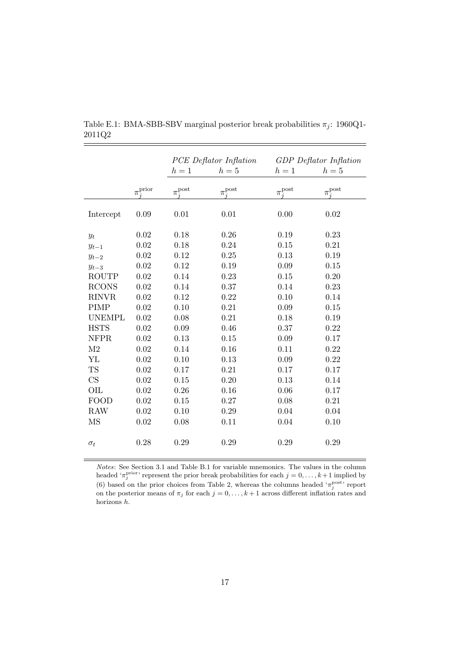|                            |                          | PCE Deflator Inflation |                         |                        | <b>GDP</b> Deflator Inflation |
|----------------------------|--------------------------|------------------------|-------------------------|------------------------|-------------------------------|
|                            |                          | $h=1$                  | $h=5$                   | $h=1$                  | $h=5$                         |
|                            | $\pi_{j}^{\text{prior}}$ | $\pi_j^{\text{post}}$  | $\pi_{i}^{\text{post}}$ | $\tau_j^{\text{post}}$ | $\pi^{\text{post}}_j$         |
| Intercept                  | 0.09                     | 0.01                   | 0.01                    | 0.00                   | 0.02                          |
| $y_t$                      | 0.02                     | 0.18                   | 0.26                    | 0.19                   | 0.23                          |
| $y_{t-1}$                  | 0.02                     | 0.18                   | 0.24                    | 0.15                   | 0.21                          |
| $y_{t-2}$                  | 0.02                     | 0.12                   | 0.25                    | 0.13                   | 0.19                          |
| $y_{t-3}$                  | 0.02                     | 0.12                   | 0.19                    | 0.09                   | 0.15                          |
| <b>ROUTP</b>               | 0.02                     | 0.14                   | 0.23                    | 0.15                   | 0.20                          |
| <b>RCONS</b>               | 0.02                     | 0.14                   | 0.37                    | 0.14                   | 0.23                          |
| <b>RINVR</b>               | 0.02                     | 0.12                   | 0.22                    | 0.10                   | 0.14                          |
| <b>PIMP</b>                | 0.02                     | 0.10                   | 0.21                    | 0.09                   | 0.15                          |
| <b>UNEMPL</b>              | 0.02                     | 0.08                   | 0.21                    | 0.18                   | 0.19                          |
| <b>HSTS</b>                | 0.02                     | 0.09                   | 0.46                    | 0.37                   | 0.22                          |
| <b>NFPR</b>                | 0.02                     | 0.13                   | 0.15                    | 0.09                   | 0.17                          |
| M <sub>2</sub>             | 0.02                     | 0.14                   | 0.16                    | 0.11                   | 0.22                          |
| YL                         | 0.02                     | 0.10                   | 0.13                    | 0.09                   | 0.22                          |
| <b>TS</b>                  | 0.02                     | 0.17                   | 0.21                    | 0.17                   | 0.17                          |
| $\mathop{\rm CS}\nolimits$ | 0.02                     | 0.15                   | 0.20                    | 0.13                   | 0.14                          |
| OIL                        | 0.02                     | 0.26                   | 0.16                    | 0.06                   | 0.17                          |
| <b>FOOD</b>                | 0.02                     | 0.15                   | 0.27                    | 0.08                   | 0.21                          |
| <b>RAW</b>                 | 0.02                     | 0.10                   | 0.29                    | 0.04                   | 0.04                          |
| MS                         | 0.02                     | 0.08                   | 0.11                    | 0.04                   | 0.10                          |
| $\sigma_t$                 | 0.28                     | 0.29                   | 0.29                    | 0.29                   | 0.29                          |

Table E.1: BMA-SBB-SBV marginal posterior break probabilities  $\pi_j$ : 1960Q1-2011Q2

Notes: See Section 3.1 and Table B.1 for variable mnemonics. The values in the column headed ' $\pi_j^{\text{prior}}$ ' represent the prior break probabilities for each  $j = 0, \ldots, k+1$  implied by (6) based on the prior choices from Table 2, whereas the columns headed ' $\pi_j^{\text{post}}$ ' report on the posterior means of  $\pi_j$  for each  $j = 0, \ldots, k+1$  across different inflation rates and horizons h.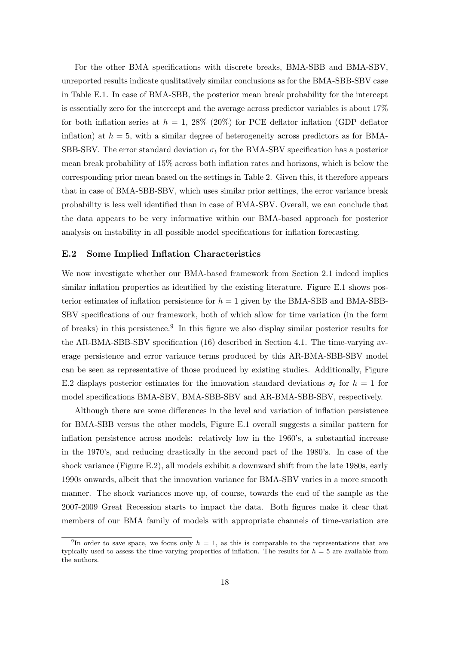For the other BMA specifications with discrete breaks, BMA-SBB and BMA-SBV, unreported results indicate qualitatively similar conclusions as for the BMA-SBB-SBV case in Table E.1. In case of BMA-SBB, the posterior mean break probability for the intercept is essentially zero for the intercept and the average across predictor variables is about 17% for both inflation series at  $h = 1$ , 28% (20%) for PCE deflator inflation (GDP deflator inflation) at  $h = 5$ , with a similar degree of heterogeneity across predictors as for BMA-SBB-SBV. The error standard deviation  $\sigma_t$  for the BMA-SBV specification has a posterior mean break probability of 15% across both inflation rates and horizons, which is below the corresponding prior mean based on the settings in Table 2. Given this, it therefore appears that in case of BMA-SBB-SBV, which uses similar prior settings, the error variance break probability is less well identified than in case of BMA-SBV. Overall, we can conclude that the data appears to be very informative within our BMA-based approach for posterior analysis on instability in all possible model specifications for inflation forecasting.

#### E.2 Some Implied Inflation Characteristics

We now investigate whether our BMA-based framework from Section 2.1 indeed implies similar inflation properties as identified by the existing literature. Figure E.1 shows posterior estimates of inflation persistence for  $h = 1$  given by the BMA-SBB and BMA-SBB-SBV specifications of our framework, both of which allow for time variation (in the form of breaks) in this persistence.<sup>9</sup> In this figure we also display similar posterior results for the AR-BMA-SBB-SBV specification (16) described in Section 4.1. The time-varying average persistence and error variance terms produced by this AR-BMA-SBB-SBV model can be seen as representative of those produced by existing studies. Additionally, Figure E.2 displays posterior estimates for the innovation standard deviations  $\sigma_t$  for  $h = 1$  for model specifications BMA-SBV, BMA-SBB-SBV and AR-BMA-SBB-SBV, respectively.

Although there are some differences in the level and variation of inflation persistence for BMA-SBB versus the other models, Figure E.1 overall suggests a similar pattern for inflation persistence across models: relatively low in the 1960's, a substantial increase in the 1970's, and reducing drastically in the second part of the 1980's. In case of the shock variance (Figure E.2), all models exhibit a downward shift from the late 1980s, early 1990s onwards, albeit that the innovation variance for BMA-SBV varies in a more smooth manner. The shock variances move up, of course, towards the end of the sample as the 2007-2009 Great Recession starts to impact the data. Both figures make it clear that members of our BMA family of models with appropriate channels of time-variation are

<sup>&</sup>lt;sup>9</sup>In order to save space, we focus only  $h = 1$ , as this is comparable to the representations that are typically used to assess the time-varying properties of inflation. The results for  $h = 5$  are available from the authors.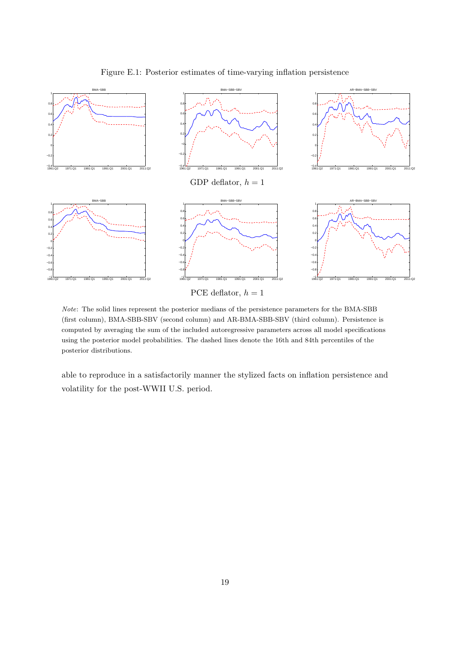

Figure E.1: Posterior estimates of time-varying inflation persistence

Note: The solid lines represent the posterior medians of the persistence parameters for the BMA-SBB

(first column), BMA-SBB-SBV (second column) and AR-BMA-SBB-SBV (third column). Persistence is computed by averaging the sum of the included autoregressive parameters across all model specifications using the posterior model probabilities. The dashed lines denote the 16th and 84th percentiles of the posterior distributions.

able to reproduce in a satisfactorily manner the stylized facts on inflation persistence and volatility for the post-WWII U.S. period.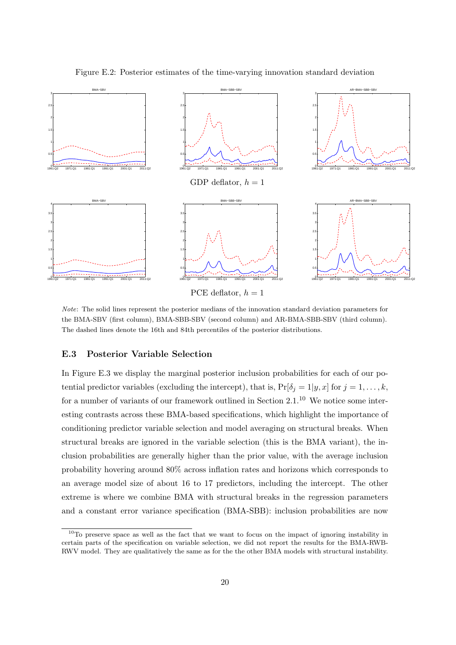

Figure E.2: Posterior estimates of the time-varying innovation standard deviation

PCE deflator,  $h = 1$ 

Note: The solid lines represent the posterior medians of the innovation standard deviation parameters for the BMA-SBV (first column), BMA-SBB-SBV (second column) and AR-BMA-SBB-SBV (third column). The dashed lines denote the 16th and 84th percentiles of the posterior distributions.

#### E.3 Posterior Variable Selection

In Figure E.3 we display the marginal posterior inclusion probabilities for each of our potential predictor variables (excluding the intercept), that is,  $Pr[\delta_j = 1 | y, x]$  for  $j = 1, ..., k$ , for a number of variants of our framework outlined in Section  $2.1<sup>10</sup>$  We notice some interesting contrasts across these BMA-based specifications, which highlight the importance of conditioning predictor variable selection and model averaging on structural breaks. When structural breaks are ignored in the variable selection (this is the BMA variant), the inclusion probabilities are generally higher than the prior value, with the average inclusion probability hovering around 80% across inflation rates and horizons which corresponds to an average model size of about 16 to 17 predictors, including the intercept. The other extreme is where we combine BMA with structural breaks in the regression parameters and a constant error variance specification (BMA-SBB): inclusion probabilities are now

<sup>&</sup>lt;sup>10</sup>To preserve space as well as the fact that we want to focus on the impact of ignoring instability in certain parts of the specification on variable selection, we did not report the results for the BMA-RWB-RWV model. They are qualitatively the same as for the the other BMA models with structural instability.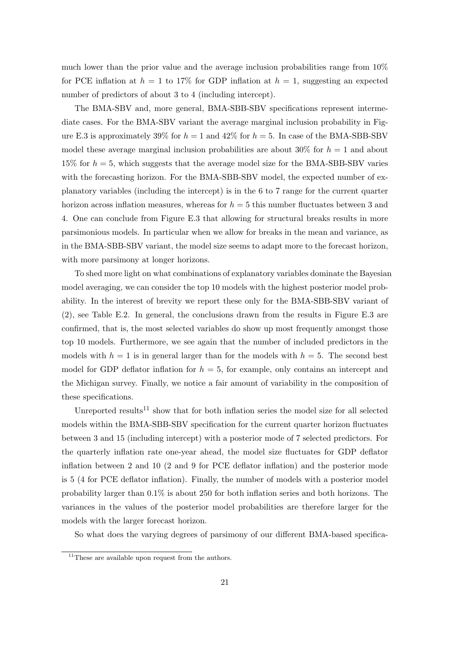much lower than the prior value and the average inclusion probabilities range from 10% for PCE inflation at  $h = 1$  to 17% for GDP inflation at  $h = 1$ , suggesting an expected number of predictors of about 3 to 4 (including intercept).

The BMA-SBV and, more general, BMA-SBB-SBV specifications represent intermediate cases. For the BMA-SBV variant the average marginal inclusion probability in Figure E.3 is approximately 39% for  $h = 1$  and 42% for  $h = 5$ . In case of the BMA-SBB-SBV model these average marginal inclusion probabilities are about 30% for  $h = 1$  and about 15% for  $h = 5$ , which suggests that the average model size for the BMA-SBB-SBV varies with the forecasting horizon. For the BMA-SBB-SBV model, the expected number of explanatory variables (including the intercept) is in the 6 to 7 range for the current quarter horizon across inflation measures, whereas for  $h = 5$  this number fluctuates between 3 and 4. One can conclude from Figure E.3 that allowing for structural breaks results in more parsimonious models. In particular when we allow for breaks in the mean and variance, as in the BMA-SBB-SBV variant, the model size seems to adapt more to the forecast horizon, with more parsimony at longer horizons.

To shed more light on what combinations of explanatory variables dominate the Bayesian model averaging, we can consider the top 10 models with the highest posterior model probability. In the interest of brevity we report these only for the BMA-SBB-SBV variant of (2), see Table E.2. In general, the conclusions drawn from the results in Figure E.3 are confirmed, that is, the most selected variables do show up most frequently amongst those top 10 models. Furthermore, we see again that the number of included predictors in the models with  $h = 1$  is in general larger than for the models with  $h = 5$ . The second best model for GDP deflator inflation for  $h = 5$ , for example, only contains an intercept and the Michigan survey. Finally, we notice a fair amount of variability in the composition of these specifications.

Unreported results<sup>11</sup> show that for both inflation series the model size for all selected models within the BMA-SBB-SBV specification for the current quarter horizon fluctuates between 3 and 15 (including intercept) with a posterior mode of 7 selected predictors. For the quarterly inflation rate one-year ahead, the model size fluctuates for GDP deflator inflation between 2 and 10 (2 and 9 for PCE deflator inflation) and the posterior mode is 5 (4 for PCE deflator inflation). Finally, the number of models with a posterior model probability larger than 0.1% is about 250 for both inflation series and both horizons. The variances in the values of the posterior model probabilities are therefore larger for the models with the larger forecast horizon.

So what does the varying degrees of parsimony of our different BMA-based specifica-

 $11$ These are available upon request from the authors.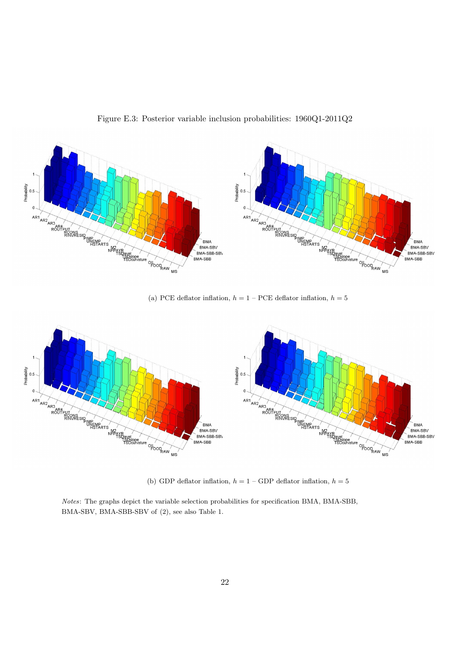

Figure E.3: Posterior variable inclusion probabilities: 1960Q1-2011Q2

(a) PCE deflator inflation,  $h = 1 - PCE$  deflator inflation,  $h = 5$ 



(b) GDP deflator inflation,  $h = 1 -$  GDP deflator inflation,  $h = 5$ 

Notes: The graphs depict the variable selection probabilities for specification BMA, BMA-SBB, BMA-SBV, BMA-SBB-SBV of (2), see also Table 1.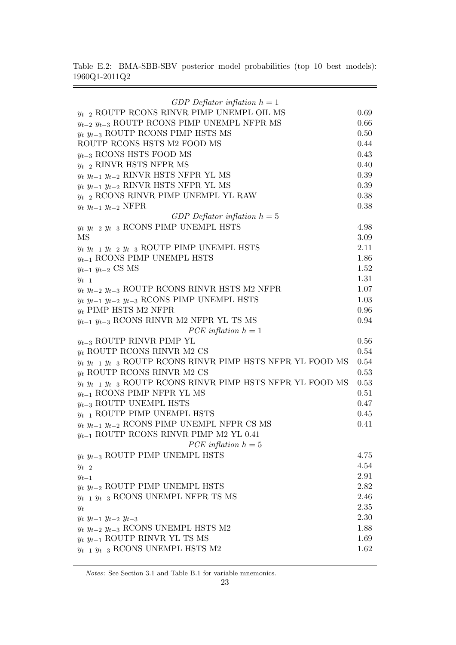Table E.2: BMA-SBB-SBV posterior model probabilities (top 10 best models):  $1960\mathrm{Q}1\text{-}2011\mathrm{Q}2$ 

 $\equiv$ 

 $\equiv$ 

| GDP Deflator inflation $h = 1$                                            |      |
|---------------------------------------------------------------------------|------|
| $y_{t-2}$ ROUTP RCONS RINVR PIMP UNEMPL OIL MS                            | 0.69 |
| $y_{t-2}$ $y_{t-3}$ ROUTP RCONS PIMP UNEMPL NFPR MS                       | 0.66 |
| $y_t$ $y_{t-3}$ ROUTP RCONS PIMP HSTS MS                                  | 0.50 |
| ROUTP RCONS HSTS M2 FOOD MS                                               | 0.44 |
| $y_{t-3}$ RCONS HSTS FOOD MS                                              | 0.43 |
| $y_{t-2}$ RINVR HSTS NFPR MS                                              | 0.40 |
| $y_t$ $y_{t-1}$ $y_{t-2}$ RINVR HSTS NFPR YL MS                           | 0.39 |
| $y_t$ $y_{t-1}$ $y_{t-2}$ RINVR HSTS NFPR YL MS                           | 0.39 |
| $y_{t-2}$ RCONS RINVR PIMP UNEMPL YL RAW                                  | 0.38 |
| $y_t$ $y_{t-1}$ $y_{t-2}$ NFPR                                            | 0.38 |
| GDP Deflator inflation $h = 5$                                            |      |
| $y_t$ $y_{t-2}$ $y_{t-3}$ RCONS PIMP UNEMPL HSTS                          | 4.98 |
| MS                                                                        | 3.09 |
| $y_t$ $y_{t-1}$ $y_{t-2}$ $y_{t-3}$ ROUTP PIMP UNEMPL HSTS                | 2.11 |
| $y_{t-1}$ RCONS PIMP UNEMPL HSTS                                          | 1.86 |
| $y_{t-1}$ $y_{t-2}$ CS MS                                                 | 1.52 |
| $y_{t-1}$                                                                 | 1.31 |
| $y_t$ $y_{t-2}$ $y_{t-3}$ ROUTP RCONS RINVR HSTS M2 NFPR                  | 1.07 |
| $y_t$ $y_{t-1}$ $y_{t-2}$ $y_{t-3}$ RCONS PIMP UNEMPL HSTS                | 1.03 |
| $y_t$ PIMP HSTS M2 NFPR                                                   | 0.96 |
| $y_{t-1}$ $y_{t-3}$ RCONS RINVR M2 NFPR YL TS MS<br>PCE inflation $h = 1$ | 0.94 |
| $y_{t-3}$ ROUTP RINVR PIMP YL                                             | 0.56 |
| $y_t$ ROUTP RCONS RINVR M2 CS                                             | 0.54 |
| $y_t$ $y_{t-1}$ $y_{t-3}$ ROUTP RCONS RINVR PIMP HSTS NFPR YL FOOD MS     | 0.54 |
| $y_t$ ROUTP RCONS RINVR M2 CS                                             | 0.53 |
| $y_t$ $y_{t-1}$ $y_{t-3}$ ROUTP RCONS RINVR PIMP HSTS NFPR YL FOOD MS     | 0.53 |
| $y_{t-1}$ RCONS PIMP NFPR YL MS                                           | 0.51 |
| $y_{t-3}$ ROUTP UNEMPL HSTS                                               | 0.47 |
| $y_{t-1}$ ROUTP PIMP UNEMPL HSTS                                          | 0.45 |
| $y_t$ $y_{t-1}$ $y_{t-2}$ RCONS PIMP UNEMPL NFPR CS MS                    | 0.41 |
| $y_{t-1}$ ROUTP RCONS RINVR PIMP M2 YL 0.41                               |      |
| PCE inflation $h = 5$                                                     |      |
| $y_t$ $y_{t-3}$ ROUTP PIMP UNEMPL HSTS                                    | 4.75 |
| $y_{t-2}$                                                                 | 4.54 |
| $y_{t-1}$                                                                 | 2.91 |
| $y_t$ $y_{t-2}$ ROUTP PIMP UNEMPL HSTS                                    | 2.82 |
| $y_{t-1}$ $y_{t-3}$ RCONS UNEMPL NFPR TS MS                               | 2.46 |
| $y_t$                                                                     | 2.35 |
| $y_t$ $y_{t-1}$ $y_{t-2}$ $y_{t-3}$                                       | 2.30 |
| $y_t$ $y_{t-2}$ $y_{t-3}$ RCONS UNEMPL HSTS M2                            | 1.88 |
| $y_t$ $y_{t-1}$ ROUTP RINVR YL TS MS                                      | 1.69 |
| $y_{t-1}$ $y_{t-3}$ RCONS UNEMPL HSTS M2                                  | 1.62 |

Notes: See Section 3.1 and Table B.1 for variable mnemonics.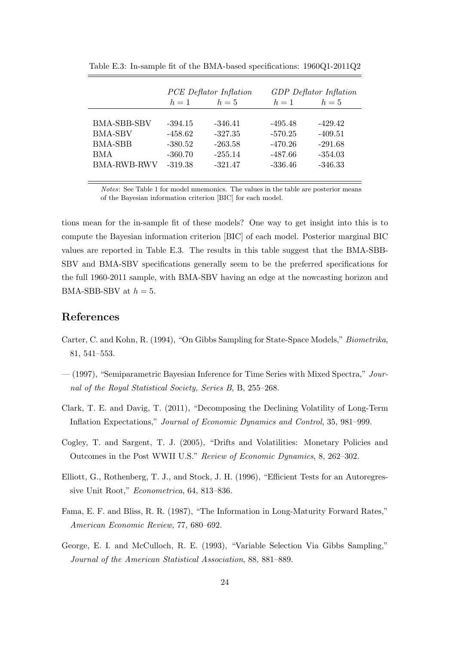|                    |           | <b>PCE</b> Deflator Inflation | <b>GDP</b> Deflator Inflation |           |  |  |  |
|--------------------|-----------|-------------------------------|-------------------------------|-----------|--|--|--|
|                    | $h=1$     | $h=5$                         | $h=1$                         | $h=5$     |  |  |  |
|                    |           |                               |                               |           |  |  |  |
| <b>BMA-SBB-SBV</b> | $-394.15$ | $-346.41$                     | $-495.48$                     | $-429.42$ |  |  |  |
| <b>BMA-SBV</b>     | $-458.62$ | $-327.35$                     | $-570.25$                     | $-409.51$ |  |  |  |
| <b>BMA-SBB</b>     | $-380.52$ | $-263.58$                     | -470.26                       | $-291.68$ |  |  |  |
| <b>BMA</b>         | $-360.70$ | $-255.14$                     | $-487.66$                     | $-354.03$ |  |  |  |
| <b>BMA-RWB-RWV</b> | $-319.38$ | $-321.47$                     | $-336.46$                     | $-346.33$ |  |  |  |
|                    |           |                               |                               |           |  |  |  |

Table E.3: In-sample fit of the BMA-based specifications: 1960Q1-2011Q2

Notes: See Table 1 for model mnemonics. The values in the table are posterior means of the Bayesian information criterion [BIC] for each model.

tions mean for the in-sample fit of these models? One way to get insight into this is to compute the Bayesian information criterion [BIC] of each model. Posterior marginal BIC values are reported in Table E.3. The results in this table suggest that the BMA-SBB-SBV and BMA-SBV specifications generally seem to be the preferred specifications for the full 1960-2011 sample, with BMA-SBV having an edge at the nowcasting horizon and BMA-SBB-SBV at  $h = 5$ .

## References

- Carter, C. and Kohn, R. (1994), "On Gibbs Sampling for State-Space Models," Biometrika, 81, 541–553.
- $-$  (1997), "Semiparametric Bayesian Inference for Time Series with Mixed Spectra," Journal of the Royal Statistical Society, Series B, B, 255–268.
- Clark, T. E. and Davig, T. (2011), "Decomposing the Declining Volatility of Long-Term Inflation Expectations," Journal of Economic Dynamics and Control, 35, 981–999.
- Cogley, T. and Sargent, T. J. (2005), "Drifts and Volatilities: Monetary Policies and Outcomes in the Post WWII U.S." Review of Economic Dynamics, 8, 262–302.
- Elliott, G., Rothenberg, T. J., and Stock, J. H. (1996), "Efficient Tests for an Autoregressive Unit Root," Econometrica, 64, 813–836.
- Fama, E. F. and Bliss, R. R. (1987), "The Information in Long-Maturity Forward Rates," American Economic Review, 77, 680–692.
- George, E. I. and McCulloch, R. E. (1993), "Variable Selection Via Gibbs Sampling," Journal of the American Statistical Association, 88, 881–889.